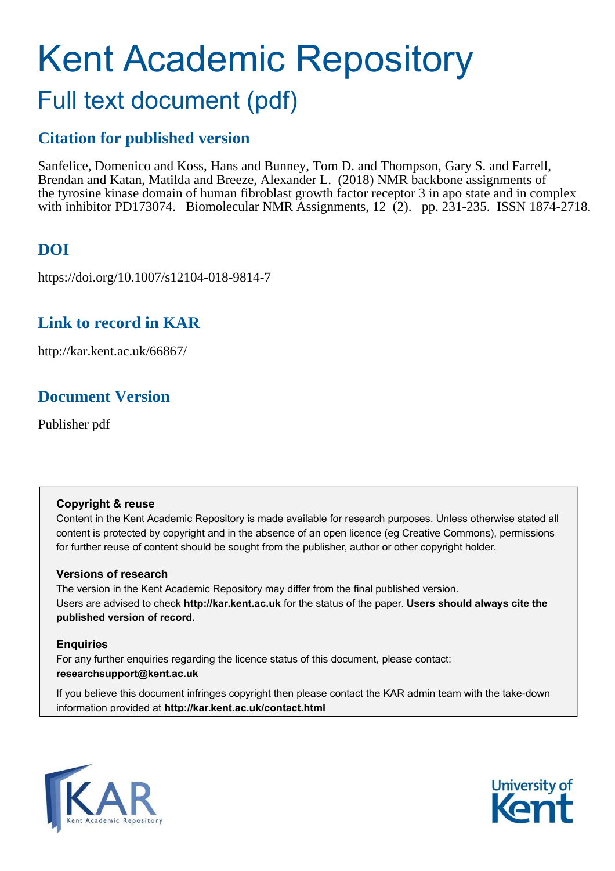# Kent Academic Repository Full text document (pdf)

# **Citation for published version**

Sanfelice, Domenico and Koss, Hans and Bunney, Tom D. and Thompson, Gary S. and Farrell, Brendan and Katan, Matilda and Breeze, Alexander L. (2018) NMR backbone assignments of the tyrosine kinase domain of human fibroblast growth factor receptor 3 in apo state and in complex with inhibitor PD173074. Biomolecular NMR Assignments, 12 (2). pp. 231-235. ISSN 1874-2718.

# **DOI**

https://doi.org/10.1007/s12104-018-9814-7

# **Link to record in KAR**

http://kar.kent.ac.uk/66867/

# **Document Version**

Publisher pdf

### **Copyright & reuse**

Content in the Kent Academic Repository is made available for research purposes. Unless otherwise stated all content is protected by copyright and in the absence of an open licence (eg Creative Commons), permissions for further reuse of content should be sought from the publisher, author or other copyright holder.

### **Versions of research**

The version in the Kent Academic Repository may differ from the final published version. Users are advised to check **http://kar.kent.ac.uk** for the status of the paper. **Users should always cite the published version of record.**

### **Enquiries**

For any further enquiries regarding the licence status of this document, please contact: **researchsupport@kent.ac.uk**

If you believe this document infringes copyright then please contact the KAR admin team with the take-down information provided at **http://kar.kent.ac.uk/contact.html**



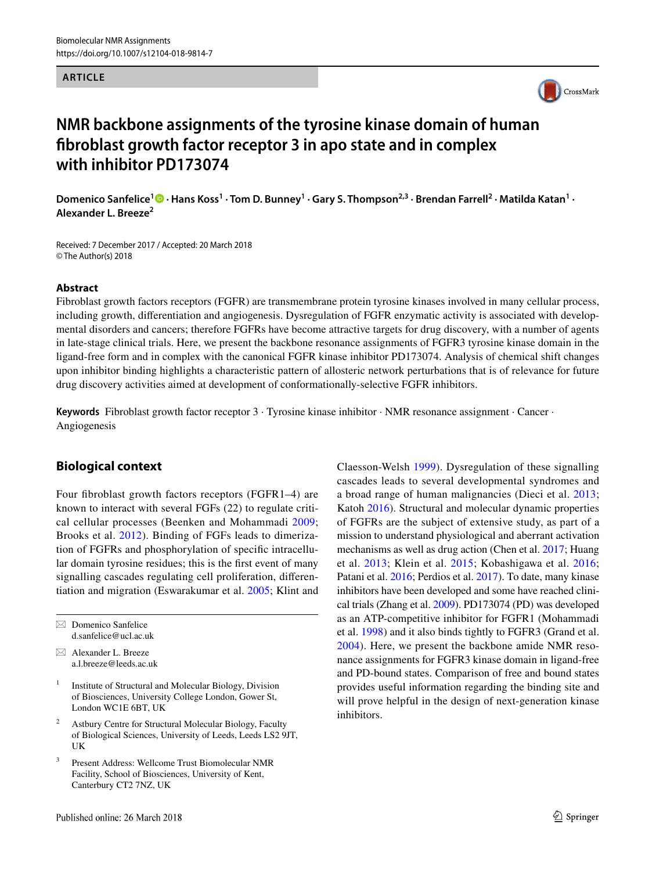#### **ARTICLE**



### **NMR backbone assignments of the tyrosine kinase domain of human ibroblast growth factor receptor 3 in apo state and in complex with inhibitor PD173074**

DomenicoSanfelice<sup>1</sup><sup>®</sup> • Hans Koss<sup>1</sup> • Tom D. Bunney<sup>1</sup> • Gary S. Thompson<sup>2,3</sup> • Brendan Farrell<sup>2</sup> • Matilda Katan<sup>1</sup> • **Alexander L. Breeze<sup>2</sup>**

Received: 7 December 2017 / Accepted: 20 March 2018 © The Author(s) 2018

### **Abstract**

Fibroblast growth factors receptors (FGFR) are transmembrane protein tyrosine kinases involved in many cellular process, including growth, diferentiation and angiogenesis. Dysregulation of FGFR enzymatic activity is associated with developmental disorders and cancers; therefore FGFRs have become attractive targets for drug discovery, with a number of agents in late-stage clinical trials. Here, we present the backbone resonance assignments of FGFR3 tyrosine kinase domain in the ligand-free form and in complex with the canonical FGFR kinase inhibitor PD173074. Analysis of chemical shift changes upon inhibitor binding highlights a characteristic pattern of allosteric network perturbations that is of relevance for future drug discovery activities aimed at development of conformationally-selective FGFR inhibitors.

**Keywords** Fibroblast growth factor receptor 3 · Tyrosine kinase inhibitor · NMR resonance assignment · Cancer · Angiogenesis

### **Biological context**

Four fibroblast growth factors receptors (FGFR1–4) are known to interact with several FGFs (22) to regulate critical cellular processes (Beenken and Mohammadi [2009](#page-3-0); Brooks et al. [2012](#page-3-1)). Binding of FGFs leads to dimerization of FGFRs and phosphorylation of specific intracellular domain tyrosine residues; this is the first event of many signalling cascades regulating cell proliferation, diferentiation and migration (Eswarakumar et al. [2005](#page-3-2); Klint and

 $\boxtimes$  Domenico Sanfelice d.sanfelice@ucl.ac.uk

 $\boxtimes$  Alexander L. Breeze a.l.breeze@leeds.ac.uk

- 1 Institute of Structural and Molecular Biology, Division of Biosciences, University College London, Gower St, London WC1E 6BT, UK
- 2 Astbury Centre for Structural Molecular Biology, Faculty of Biological Sciences, University of Leeds, Leeds LS2 9JT, UK
- 3 Present Address: Wellcome Trust Biomolecular NMR Facility, School of Biosciences, University of Kent, Canterbury CT2 7NZ, UK

Claesson-Welsh [1999](#page-3-3)). Dysregulation of these signalling cascades leads to several developmental syndromes and a broad range of human malignancies (Dieci et al. [2013](#page-3-4); Katoh [2016\)](#page-3-5). Structural and molecular dynamic properties of FGFRs are the subject of extensive study, as part of a mission to understand physiological and aberrant activation mechanisms as well as drug action (Chen et al. [2017;](#page-3-6) Huang et al. [2013;](#page-3-7) Klein et al. [2015](#page-3-8); Kobashigawa et al. [2016](#page-3-9); Patani et al. [2016](#page-4-0); Perdios et al. [2017](#page-4-1)). To date, many kinase inhibitors have been developed and some have reached clinical trials (Zhang et al. [2009](#page-4-2)). PD173074 (PD) was developed as an ATP-competitive inhibitor for FGFR1 (Mohammadi et al. [1998](#page-3-10)) and it also binds tightly to FGFR3 (Grand et al. [2004\)](#page-3-11). Here, we present the backbone amide NMR resonance assignments for FGFR3 kinase domain in ligand-free and PD-bound states. Comparison of free and bound states provides useful information regarding the binding site and will prove helpful in the design of next-generation kinase inhibitors.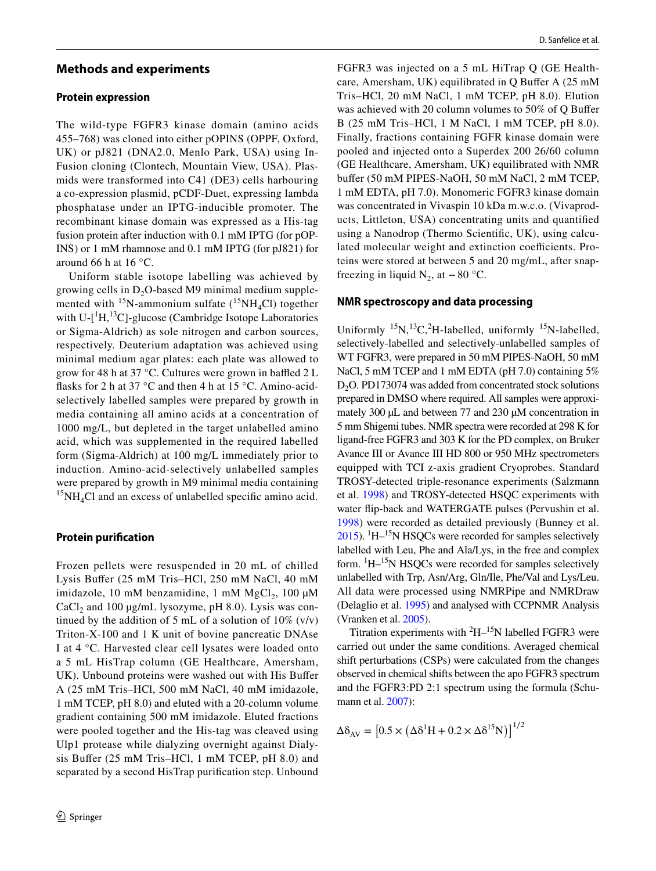### **Methods and experiments**

#### **Protein expression**

The wild-type FGFR3 kinase domain (amino acids 455–768) was cloned into either pOPINS (OPPF, Oxford, UK) or pJ821 (DNA2.0, Menlo Park, USA) using In-Fusion cloning (Clontech, Mountain View, USA). Plasmids were transformed into C41 (DE3) cells harbouring a co-expression plasmid, pCDF-Duet, expressing lambda phosphatase under an IPTG-inducible promoter. The recombinant kinase domain was expressed as a His-tag fusion protein after induction with 0.1 mM IPTG (for pOP-INS) or 1 mM rhamnose and 0.1 mM IPTG (for pJ821) for around 66 h at 16 $\degree$ C.

Uniform stable isotope labelling was achieved by growing cells in  $D_2O$ -based M9 minimal medium supplemented with  $15$ N-ammonium sulfate ( $15NH_4Cl$ ) together with U- $[$ <sup>1</sup>H,<sup>13</sup>C]-glucose (Cambridge Isotope Laboratories or Sigma-Aldrich) as sole nitrogen and carbon sources, respectively. Deuterium adaptation was achieved using minimal medium agar plates: each plate was allowed to grow for 48 h at 37 °C. Cultures were grown in baffled  $2 L$ flasks for 2 h at 37  $\degree$ C and then 4 h at 15  $\degree$ C. Amino-acidselectively labelled samples were prepared by growth in media containing all amino acids at a concentration of 1000 mg/L, but depleted in the target unlabelled amino acid, which was supplemented in the required labelled form (Sigma-Aldrich) at 100 mg/L immediately prior to induction. Amino-acid-selectively unlabelled samples were prepared by growth in M9 minimal media containing  ${}^{15}NH_{4}Cl$  and an excess of unlabelled specific amino acid.

#### **Protein purification**

<span id="page-2-0"></span>Frozen pellets were resuspended in 20 mL of chilled Lysis Bufer (25 mM Tris–HCl, 250 mM NaCl, 40 mM imidazole, 10 mM benzamidine, 1 mM  $MgCl_2$ , 100 µM  $CaCl<sub>2</sub>$  and 100 µg/mL lysozyme, pH 8.0). Lysis was continued by the addition of 5 mL of a solution of  $10\%$  (v/v) Triton-X-100 and 1 K unit of bovine pancreatic DNAse I at 4 °C. Harvested clear cell lysates were loaded onto a 5 mL HisTrap column (GE Healthcare, Amersham, UK). Unbound proteins were washed out with His Buffer A (25 mM Tris–HCl, 500 mM NaCl, 40 mM imidazole, 1 mM TCEP, pH 8.0) and eluted with a 20-column volume gradient containing 500 mM imidazole. Eluted fractions were pooled together and the His-tag was cleaved using Ulp1 protease while dialyzing overnight against Dialysis Bufer (25 mM Tris–HCl, 1 mM TCEP, pH 8.0) and separated by a second HisTrap purification step. Unbound

FGFR3 was injected on a 5 mL HiTrap Q (GE Healthcare, Amersham, UK) equilibrated in Q Bufer A (25 mM Tris–HCl, 20 mM NaCl, 1 mM TCEP, pH 8.0). Elution was achieved with 20 column volumes to 50% of Q Bufer B (25 mM Tris–HCl, 1 M NaCl, 1 mM TCEP, pH 8.0). Finally, fractions containing FGFR kinase domain were pooled and injected onto a Superdex 200 26/60 column (GE Healthcare, Amersham, UK) equilibrated with NMR bufer (50 mM PIPES-NaOH, 50 mM NaCl, 2 mM TCEP, 1 mM EDTA, pH 7.0). Monomeric FGFR3 kinase domain was concentrated in Vivaspin 10 kDa m.w.c.o. (Vivaproducts, Littleton, USA) concentrating units and quantified using a Nanodrop (Thermo Scientific, UK), using calculated molecular weight and extinction coefficients. Proteins were stored at between 5 and 20 mg/mL, after snapfreezing in liquid  $N_2$ , at  $-80$  °C.

#### **NMR spectroscopy and data processing**

Uniformly  $^{15}N$ ,  $^{13}C$ ,  $^{2}H$ -labelled, uniformly  $^{15}N$ -labelled, selectively-labelled and selectively-unlabelled samples of WT FGFR3, were prepared in 50 mM PIPES-NaOH, 50 mM NaCl, 5 mM TCEP and 1 mM EDTA (pH 7.0) containing 5%  $D<sub>2</sub>O$ . PD173074 was added from concentrated stock solutions prepared in DMSO where required. All samples were approximately 300  $\mu$ L and between 77 and 230  $\mu$ M concentration in 5 mm Shigemi tubes. NMR spectra were recorded at 298 K for ligand-free FGFR3 and 303 K for the PD complex, on Bruker Avance III or Avance III HD 800 or 950 MHz spectrometers equipped with TCI z-axis gradient Cryoprobes. Standard TROSY-detected triple-resonance experiments (Salzmann et al. [1998](#page-4-3)) and TROSY-detected HSQC experiments with water flip-back and WATERGATE pulses (Pervushin et al. [1998](#page-4-4)) were recorded as detailed previously (Bunney et al.  $2015$ ).  $\mathrm{H}$ – $\mathrm{^{15}N}$  HSQCs were recorded for samples selectively labelled with Leu, Phe and Ala/Lys, in the free and complex form. <sup>1</sup>H–<sup>15</sup>N HSQCs were recorded for samples selectively unlabelled with Trp, Asn/Arg, Gln/Ile, Phe/Val and Lys/Leu. All data were processed using NMRPipe and NMRDraw (Delaglio et al. [1995](#page-3-13)) and analysed with CCPNMR Analysis (Vranken et al. [2005\)](#page-4-5).

Titration experiments with  ${}^{2}H-{}^{15}N$  labelled FGFR3 were carried out under the same conditions. Averaged chemical shift perturbations (CSPs) were calculated from the changes observed in chemical shifts between the apo FGFR3 spectrum and the FGFR3:PD 2:1 spectrum using the formula (Schu-mann et al. [2007\)](#page-4-6):

$$
\Delta \delta_{\rm AV} = [0.5 \times (\Delta \delta^1 H + 0.2 \times \Delta \delta^{15} N)]^{1/2}
$$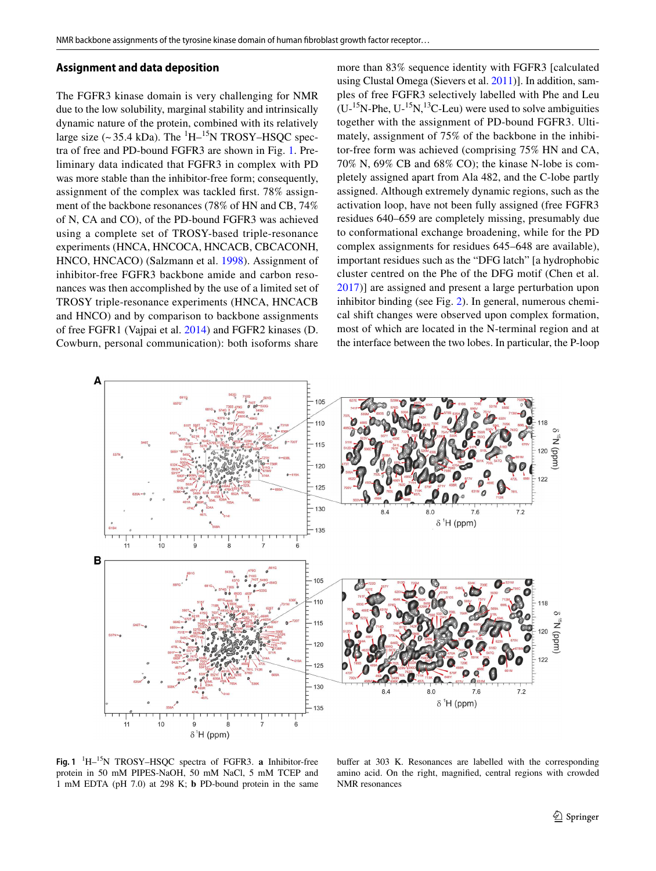#### **Assignment and data deposition**

The FGFR3 kinase domain is very challenging for NMR due to the low solubility, marginal stability and intrinsically dynamic nature of the protein, combined with its relatively large size ( $\sim$  35.4 kDa). The  $\rm{^{1}H-^{15}N}$  TROSY–HSQC spectra of free and PD-bound FGFR3 are shown in Fig. [1](#page-2-0). Preliminary data indicated that FGFR3 in complex with PD was more stable than the inhibitor-free form; consequently, assignment of the complex was tackled first. 78% assignment of the backbone resonances (78% of HN and CB, 74% of N, CA and CO), of the PD-bound FGFR3 was achieved using a complete set of TROSY-based triple-resonance experiments (HNCA, HNCOCA, HNCACB, CBCACONH, HNCO, HNCACO) (Salzmann et al. [1998](#page-4-3)). Assignment of inhibitor-free FGFR3 backbone amide and carbon resonances was then accomplished by the use of a limited set of TROSY triple-resonance experiments (HNCA, HNCACB and HNCO) and by comparison to backbone assignments of free FGFR1 (Vajpai et al. [2014\)](#page-4-7) and FGFR2 kinases (D. Cowburn, personal communication): both isoforms share <span id="page-3-12"></span><span id="page-3-1"></span><span id="page-3-0"></span>more than 83% sequence identity with FGFR3 [calculated using Clustal Omega (Sievers et al. [2011](#page-4-8))]. In addition, samples of free FGFR3 selectively labelled with Phe and Leu  $(U^{-15}N$ -Phe,  $U^{-15}N$ , <sup>13</sup>C-Leu) were used to solve ambiguities together with the assignment of PD-bound FGFR3. Ultimately, assignment of 75% of the backbone in the inhibitor-free form was achieved (comprising 75% HN and CA, 70% N, 69% CB and 68% CO); the kinase N-lobe is completely assigned apart from Ala 482, and the C-lobe partly assigned. Although extremely dynamic regions, such as the activation loop, have not been fully assigned (free FGFR3 residues 640–659 are completely missing, presumably due to conformational exchange broadening, while for the PD complex assignments for residues 645–648 are available), important residues such as the "DFG latch" [a hydrophobic cluster centred on the Phe of the DFG motif (Chen et al. [2017\)](#page-3-6)] are assigned and present a large perturbation upon inhibitor binding (see Fig. [2\)](#page-3-14). In general, numerous chemical shift changes were observed upon complex formation, most of which are located in the N-terminal region and at the interface between the two lobes. In particular, the P-loop

<span id="page-3-14"></span><span id="page-3-13"></span><span id="page-3-6"></span><span id="page-3-4"></span>

**Fig. 1** <sup>1</sup>H–<sup>15</sup>N TROSY–HSQC spectra of FGFR3. **a** Inhibitor-free protein in 50 mM PIPES-NaOH, 50 mM NaCl, 5 mM TCEP and 1 mM EDTA (pH 7.0) at 298 K; **b** PD-bound protein in the same

<span id="page-3-15"></span><span id="page-3-11"></span><span id="page-3-10"></span><span id="page-3-9"></span><span id="page-3-8"></span><span id="page-3-7"></span><span id="page-3-5"></span><span id="page-3-3"></span><span id="page-3-2"></span>buffer at 303 K. Resonances are labelled with the corresponding amino acid. On the right, magnified, central regions with crowded NMR resonances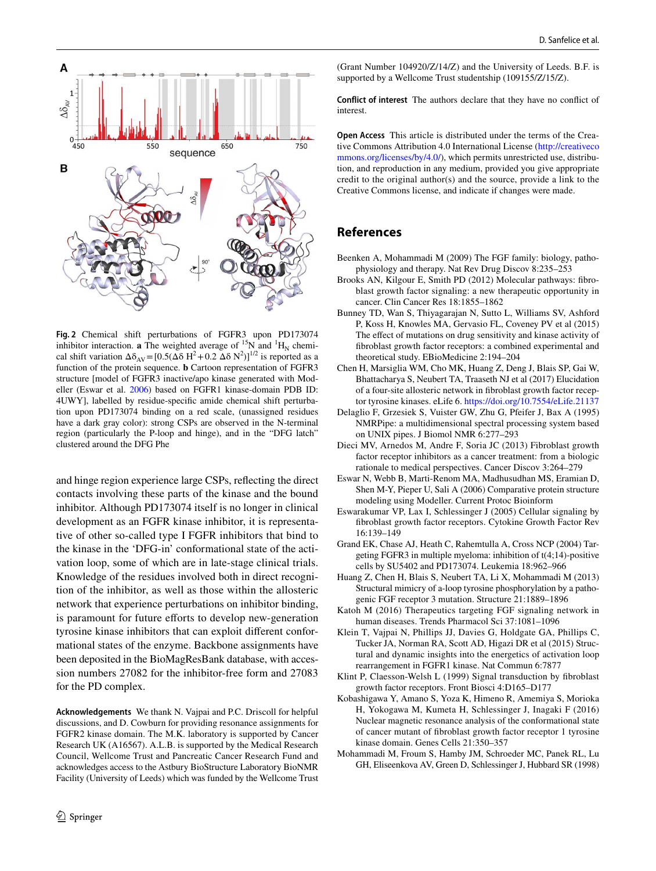<span id="page-4-1"></span><span id="page-4-0"></span>

<span id="page-4-4"></span><span id="page-4-3"></span>**Fig. 2** Chemical shift perturbations of FGFR3 upon PD173074 inhibitor interaction. **a** The weighted average of <sup>15</sup>N and <sup>1</sup>H<sub>N</sub> chemical shift variation  $\Delta \delta_{AV} = [0.5(\Delta \delta H^2 + 0.2 \Delta \delta N^2)]^{1/2}$  is reported as a function of the protein sequence. **b** Cartoon representation of FGFR3 structure [model of FGFR3 inactive/apo kinase generated with Modeller (Eswar et al. [2006\)](#page-3-15) based on FGFR1 kinase-domain PDB ID: 4UWY], labelled by residue-specific amide chemical shift perturbation upon PD173074 binding on a red scale, (unassigned residues have a dark gray color): strong CSPs are observed in the N-terminal region (particularly the P-loop and hinge), and in the "DFG latch" clustered around the DFG Phe

and hinge region experience large CSPs, relecting the direct contacts involving these parts of the kinase and the bound inhibitor. Although PD173074 itself is no longer in clinical development as an FGFR kinase inhibitor, it is representative of other so-called type I FGFR inhibitors that bind to the kinase in the 'DFG-in' conformational state of the activation loop, some of which are in late-stage clinical trials. Knowledge of the residues involved both in direct recognition of the inhibitor, as well as those within the allosteric network that experience perturbations on inhibitor binding, is paramount for future efforts to develop new-generation tyrosine kinase inhibitors that can exploit diferent conformational states of the enzyme. Backbone assignments have been deposited in the BioMagResBank database, with accession numbers 27082 for the inhibitor-free form and 27083 for the PD complex.

**Acknowledgements** We thank N. Vajpai and P.C. Driscoll for helpful discussions, and D. Cowburn for providing resonance assignments for FGFR2 kinase domain. The M.K. laboratory is supported by Cancer Research UK (A16567). A.L.B. is supported by the Medical Research Council, Wellcome Trust and Pancreatic Cancer Research Fund and acknowledges access to the Astbury BioStructure Laboratory BioNMR Facility (University of Leeds) which was funded by the Wellcome Trust <span id="page-4-6"></span>(Grant Number 104920/Z/14/Z) and the University of Leeds. B.F. is supported by a Wellcome Trust studentship (109155/Z/15/Z).

<span id="page-4-8"></span>**Conflict of interest** The authors declare that they have no conflict of interest.

<span id="page-4-7"></span>**Open Access** This article is distributed under the terms of the Creative Commons Attribution 4.0 International License (http://creativeco mmons.org/licenses/by/4.0/), which permits unrestricted use, distribution, and reproduction in any medium, provided you give appropriate credit to the original author(s) and the source, provide a link to the Creative Commons license, and indicate if changes were made.

### <span id="page-4-5"></span><span id="page-4-2"></span>**References**

- Beenken A, Mohammadi M (2009) The FGF family: biology, pathophysiology and therapy. Nat Rev Drug Discov 8:235–253
- Brooks AN, Kilgour E, Smith PD (2012) Molecular pathways: fibroblast growth factor signaling: a new therapeutic opportunity in cancer. Clin Cancer Res 18:1855–1862
- Bunney TD, Wan S, Thiyagarajan N, Sutto L, Williams SV, Ashford P, Koss H, Knowles MA, Gervasio FL, Coveney PV et al (2015) The effect of mutations on drug sensitivity and kinase activity of fibroblast growth factor receptors: a combined experimental and theoretical study. EBioMedicine 2:194–204
- Chen H, Marsiglia WM, Cho MK, Huang Z, Deng J, Blais SP, Gai W, Bhattacharya S, Neubert TA, Traaseth NJ et al (2017) Elucidation of a four-site allosteric network in ibroblast growth factor receptor tyrosine kinases. eLife 6. https://doi.org/10.7554/eLife.21137
- Delaglio F, Grzesiek S, Vuister GW, Zhu G, Pfeifer J, Bax A (1995) NMRPipe: a multidimensional spectral processing system based on UNIX pipes. J Biomol NMR 6:277–293
- Dieci MV, Arnedos M, Andre F, Soria JC (2013) Fibroblast growth factor receptor inhibitors as a cancer treatment: from a biologic rationale to medical perspectives. Cancer Discov 3:264–279
- Eswar N, Webb B, Marti-Renom MA, Madhusudhan MS, Eramian D, Shen M-Y, Pieper U, Sali A (2006) Comparative protein structure modeling using Modeller. Current Protoc Bioinform
- Eswarakumar VP, Lax I, Schlessinger J (2005) Cellular signaling by fibroblast growth factor receptors. Cytokine Growth Factor Rev 16:139–149
- Grand EK, Chase AJ, Heath C, Rahemtulla A, Cross NCP (2004) Targeting FGFR3 in multiple myeloma: inhibition of t(4;14)-positive cells by SU5402 and PD173074. Leukemia 18:962–966
- Huang Z, Chen H, Blais S, Neubert TA, Li X, Mohammadi M (2013) Structural mimicry of a-loop tyrosine phosphorylation by a pathogenic FGF receptor 3 mutation. Structure 21:1889–1896
- Katoh M (2016) Therapeutics targeting FGF signaling network in human diseases. Trends Pharmacol Sci 37:1081–1096
- Klein T, Vajpai N, Phillips JJ, Davies G, Holdgate GA, Phillips C, Tucker JA, Norman RA, Scott AD, Higazi DR et al (2015) Structural and dynamic insights into the energetics of activation loop rearrangement in FGFR1 kinase. Nat Commun 6:7877
- Klint P, Claesson-Welsh L (1999) Signal transduction by ibroblast growth factor receptors. Front Biosci 4:D165–D177
- Kobashigawa Y, Amano S, Yoza K, Himeno R, Amemiya S, Morioka H, Yokogawa M, Kumeta H, Schlessinger J, Inagaki F (2016) Nuclear magnetic resonance analysis of the conformational state of cancer mutant of ibroblast growth factor receptor 1 tyrosine kinase domain. Genes Cells 21:350–357
- Mohammadi M, Froum S, Hamby JM, Schroeder MC, Panek RL, Lu GH, Eliseenkova AV, Green D, Schlessinger J, Hubbard SR (1998)